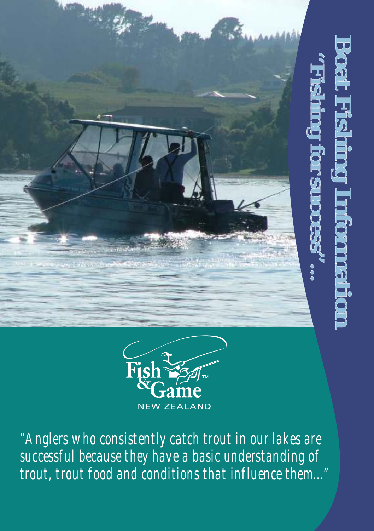



*"Anglers who consistently catch trout in our lakes are successful because they have a basic understanding of trout, trout food and conditions that influence them..."*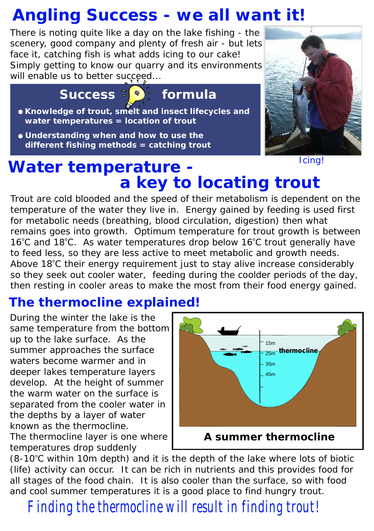## *Angling Success - we all want it!*

There is noting quite like a day on the lake fishing - the scenery, good company and plenty of fresh air - but lets face it, catching fish is what adds icing to *our* cake! Simply getting to know our quarry and its environments will enable us to better succeed...

*Success*  $\epsilon$ <sup>*s*</sup> *formula* 

- **Knowledge of trout, smelt and insect lifecycles and water temperatures =** *location of trout*
- **Understanding when and how to use the different fishing methods =** *catching trout*



*Icing!*

## *Water temperature a key to locating trout*

Trout are cold blooded and the speed of their metabolism is dependent on the temperature of the water they live in. Energy gained by feeding is used first for metabolic needs (breathing, blood circulation, digestion) then what remains goes into growth. Optimum temperature for trout growth is between 16°C and 18°C. As water temperatures drop below 16°C trout generally have to feed less, so they are less active to meet metabolic and growth needs. Above 18<sup>°</sup>C their energy requirement just to stay alive increase considerably so they seek out cooler water, feeding during the coolder periods of the day, then resting in cooler areas to make the most from their food energy gained.

#### *The thermocline explained!*

During the winter the lake is the same temperature from the bottom up to the lake surface. As the summer approaches the surface waters become warmer and in deeper lakes temperature layers develop. At the height of summer the warm water on the surface is separated from the cooler water in the depths by a layer of water known as the thermocline.

The thermocline layer is one where temperatures drop suddenly



(8-10°C within 10m depth) and it is the depth of the lake where lots of biotic (life) activity can occur. It can be rich in nutrients and this provides food for all stages of the food chain. It is also cooler than the surface, so with food and cool summer temperatures it is a good place to find hungry trout.

*Finding the thermocline will result in finding trout!*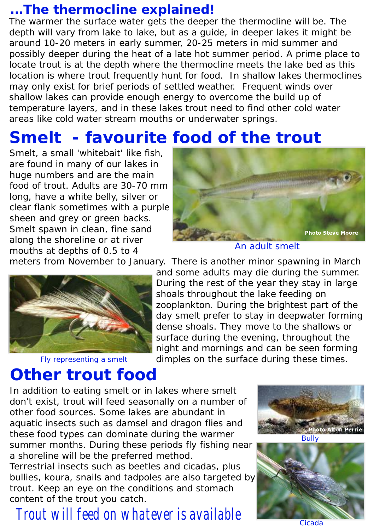#### *...The thermocline explained!*

The warmer the surface water gets the deeper the thermocline will be. The depth will vary from lake to lake, but as a guide, in deeper lakes it might be around 10-20 meters in early summer, 20-25 meters in mid summer and possibly deeper during the heat of a late hot summer period. A prime place to locate trout is at the depth where the thermocline meets the lake bed as this location is where trout frequently hunt for food. In shallow lakes thermoclines may only exist for brief periods of settled weather. Frequent winds over shallow lakes can provide enough energy to overcome the build up of temperature layers, and in these lakes trout need to find other cold water areas like cold water stream mouths or underwater springs.

## *Smelt - favourite food of the trout*

Smelt, a small 'whitebait' like fish, are found in many of our lakes in huge numbers and are the main food of trout. Adults are 30-70 mm long, have a white belly, silver or clear flank sometimes with a purple sheen and grey or green backs. Smelt spawn in clean, fine sand along the shoreline or at river mouths at depths of 0.5 to 4



*An adult smelt*

meters from November to January. There is another minor spawning in March



*Fly representing a smelt*

and some adults may die during the summer. During the rest of the year they stay in large shoals throughout the lake feeding on zooplankton. During the brightest part of the day smelt prefer to stay in deepwater forming dense shoals. They move to the shallows or surface during the evening, throughout the night and mornings and can be seen forming dimples on the surface during these times.

## *Other trout food*

In addition to eating smelt or in lakes where smelt don't exist, trout will feed seasonally on a number of other food sources. Some lakes are abundant in aquatic insects such as damsel and dragon flies and these food types can dominate during the warmer summer months. During these periods fly fishing near a shoreline will be the preferred method.

Terrestrial insects such as beetles and cicadas, plus bullies, koura, snails and tadpoles are also targeted by trout. Keep an eye on the conditions and stomach content of the trout you catch.

## *Trout will feed on whatever is available*





*Cicada*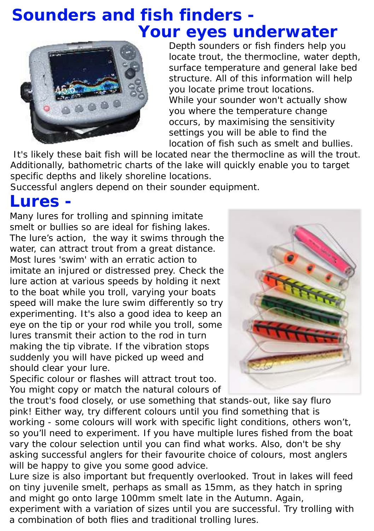## *Sounders and fish finders - Your eyes underwater*



Depth sounders or fish finders help you locate trout, the thermocline, water depth, surface temperature and general lake bed structure. All of this information will help you locate prime trout locations. While your sounder won't actually show you where the temperature change occurs, by maximising the sensitivity settings you will be able to find the location of fish such as smelt and bullies.

 It's likely these bait fish will be located near the thermocline as will the trout. Additionally, bathometric charts of the lake will quickly enable you to target specific depths and likely shoreline locations.

Successful anglers depend on their sounder equipment.

#### *Lures -*

Many lures for trolling and spinning imitate smelt or bullies so are ideal for fishing lakes. The lure's action, the way it swims through the water, can attract trout from a great distance. Most lures 'swim' with an erratic action to imitate an injured or distressed prey. Check the lure action at various speeds by holding it next to the boat while you troll, varying your boats speed will make the lure swim differently so try experimenting. It's also a good idea to keep an eye on the tip or your rod while you troll, some lures transmit their action to the rod in turn making the tip vibrate. If the vibration stops suddenly you will have picked up weed and should clear your lure.

Specific colour or flashes will attract trout too. You might copy or match the natural colours of



the trout's food closely, or use something that stands-out, like say fluro pink! Either way, try different colours until you find something that is working - some colours will work with specific light conditions, others won't, so you'll need to experiment. If you have multiple lures fished from the boat vary the colour selection until you can find what works. Also, don't be shy asking successful anglers for their favourite choice of colours, most anglers will be happy to give you some good advice.

Lure size is also important but frequently overlooked. Trout in lakes will feed on tiny juvenile smelt, perhaps as small as 15mm, as they hatch in spring and might go onto large 100mm smelt late in the Autumn. Again,

experiment with a variation of sizes until you are successful. Try trolling with a combination of both flies and traditional trolling lures.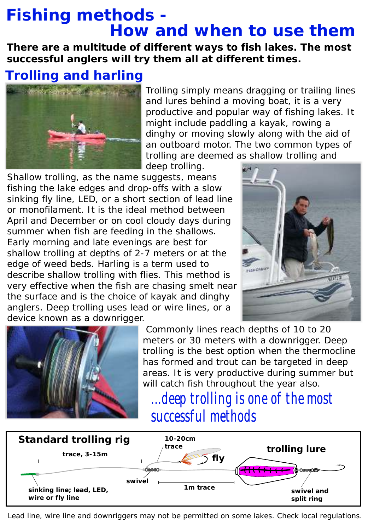## *Fishing methods - How and when to use them*

*There are a multitude of different ways to fish lakes. The most successful anglers will try them all at different times.*

#### *Trolling and harling*



Trolling simply means dragging or trailing lines and lures behind a moving boat, it is a very productive and popular way of fishing lakes. It might include paddling a kayak, rowing a dinghy or moving slowly along with the aid of an outboard motor. The two common types of trolling are deemed as *shallow trolling* and

*deep trolling*.

Shallow trolling, as the name suggests, means fishing the lake edges and drop-offs with a slow sinking fly line, LED, or a short section of lead line or monofilament. It is the ideal method between April and December or on cool cloudy days during summer when fish are feeding in the shallows. Early morning and late evenings are best for shallow trolling at depths of 2-7 meters or at the edge of weed beds. Harling is a term used to describe shallow trolling with flies. This method is very effective when the fish are chasing smelt near the surface and is the choice of kayak and dinghy anglers. Deep trolling uses lead or wire lines, or a device known as a downrigger.





 Commonly lines reach depths of 10 to 20 meters or 30 meters with a downrigger. Deep trolling is the best option when the thermocline has formed and trout can be targeted in deep areas. It is very productive during summer but will catch fish throughout the year also.

## *...deep trolling is one of the most successful methods*



 *Lead line, wire line and downriggers may not be permitted on some lakes. Check local regulations.*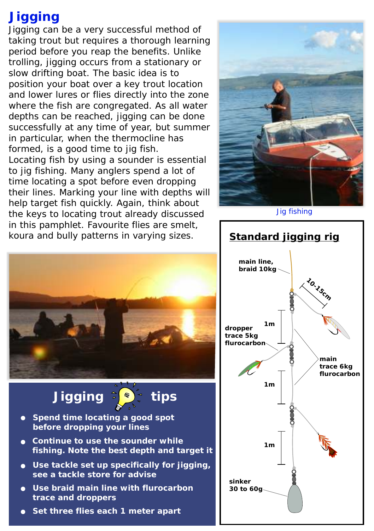#### *Jigging*

Jigging can be a very successful method of taking trout but requires a thorough learning period before you reap the benefits. Unlike trolling, jigging occurs from a stationary or slow drifting boat. The basic idea is to position your boat over a key trout location and lower lures or flies directly into the zone where the fish are congregated. As all water depths can be reached, jigging can be done successfully at any time of year, but summer in particular, when the thermocline has formed, is a good time to jig fish. Locating fish by using a sounder is essential to jig fishing. Many anglers spend a lot of time locating a spot before even dropping their lines. Marking your line with depths will help target fish quickly. Again, think about the keys to locating trout already discussed in this pamphlet. Favourite flies are smelt, koura and bully patterns in varying sizes.



*Jig fishing*







- **Continue to use the sounder while fishing. Note the best depth and target it**
- **Use tackle set up specifically for jigging, see a tackle store for advise**
- **Use braid main line with flurocarbon trace and droppers**
- **Set three flies each 1 meter apart**

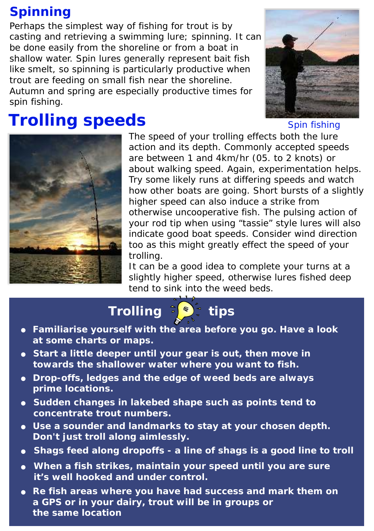### *Spinning*

Perhaps the simplest way of fishing for trout is by casting and retrieving a swimming lure; *spinning.* It can be done easily from the shoreline or from a boat in shallow water. Spin lures generally represent bait fish like smelt, so spinning is particularly productive when trout are feeding on small fish near the shoreline. Autumn and spring are especially productive times for spin fishing.

# *Trolling speeds*



*Spin fishing*



The speed of your trolling effects both the lure action and its depth. Commonly accepted speeds are between 1 and 4km/hr (05. to 2 knots) or about walking speed. Again, experimentation helps. Try some likely runs at differing speeds and watch how other boats are going. Short bursts of a slightly higher speed can also induce a strike from otherwise uncooperative fish. The pulsing action of your rod tip when using "tassie" style lures will also indicate good boat speeds. Consider wind direction too as this might greatly effect the speed of your trolling.

It can be a good idea to complete your turns at a slightly higher speed, otherwise lures fished deep tend to sink into the weed beds.

*Trolling*  $\sqrt{\frac{1}{2} + 1}$  tips

- **Familiarise yourself with the area before you go. Have a look at some charts or maps.**
- **Start a little deeper until your gear is out, then move in towards the shallower water where you want to fish.**
- **Drop-offs, ledges and the edge of weed beds are always prime locations.**
- **Sudden changes in lakebed shape such as points tend to concentrate trout numbers.**
- **Use a sounder and landmarks to stay at your chosen depth. Don't just troll along aimlessly.**
- **Shags feed along dropoffs a line of shags is a good line to troll**
- **When a fish strikes, maintain your speed until you are sure it's well hooked and under control.**
- **Re fish areas where you have had success and mark them on a GPS or in your dairy, trout will be in groups or the same location**